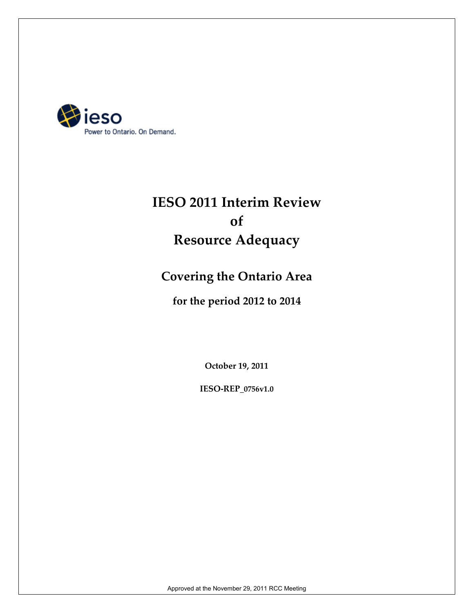

# **IESO 2011 Interim Review of Resource Adequacy**

# **Covering the Ontario Area**

**for the period 2012 to 2014** 

**October 19, 2011** 

**IESO-REP\_0756v1.0**

Approved at the November 29, 2011 RCC Meeting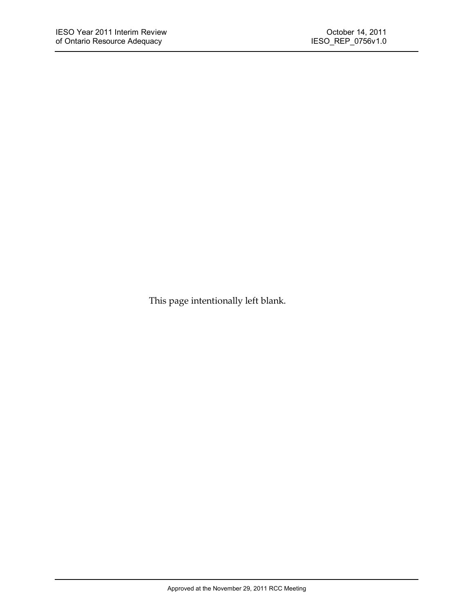This page intentionally left blank.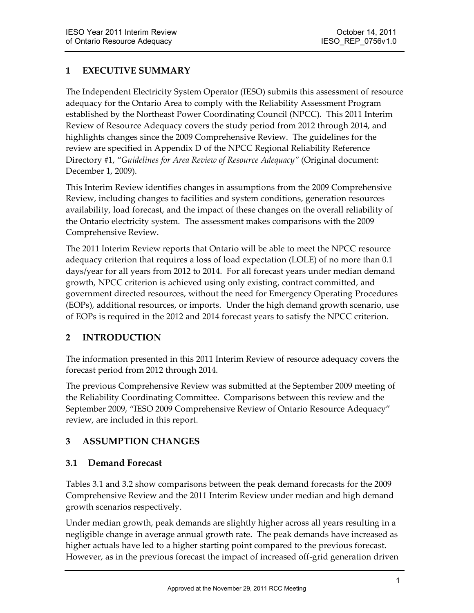## **1 EXECUTIVE SUMMARY**

The Independent Electricity System Operator (IESO) submits this assessment of resource adequacy for the Ontario Area to comply with the Reliability Assessment Program established by the Northeast Power Coordinating Council (NPCC). This 2011 Interim Review of Resource Adequacy covers the study period from 2012 through 2014, and highlights changes since the 2009 Comprehensive Review. The guidelines for the review are specified in Appendix D of the NPCC Regional Reliability Reference Directory #1, "*Guidelines for Area Review of Resource Adequacy"* (Original document: December 1, 2009).

This Interim Review identifies changes in assumptions from the 2009 Comprehensive Review, including changes to facilities and system conditions, generation resources availability, load forecast, and the impact of these changes on the overall reliability of the Ontario electricity system. The assessment makes comparisons with the 2009 Comprehensive Review.

The 2011 Interim Review reports that Ontario will be able to meet the NPCC resource adequacy criterion that requires a loss of load expectation (LOLE) of no more than 0.1 days/year for all years from 2012 to 2014. For all forecast years under median demand growth, NPCC criterion is achieved using only existing, contract committed, and government directed resources, without the need for Emergency Operating Procedures (EOPs), additional resources, or imports. Under the high demand growth scenario, use of EOPs is required in the 2012 and 2014 forecast years to satisfy the NPCC criterion.

#### **2 INTRODUCTION**

The information presented in this 2011 Interim Review of resource adequacy covers the forecast period from 2012 through 2014.

The previous Comprehensive Review was submitted at the September 2009 meeting of the Reliability Coordinating Committee. Comparisons between this review and the September 2009, "IESO 2009 Comprehensive Review of Ontario Resource Adequacy" review, are included in this report.

#### **3 ASSUMPTION CHANGES**

#### **3.1 Demand Forecast**

Tables 3.1 and 3.2 show comparisons between the peak demand forecasts for the 2009 Comprehensive Review and the 2011 Interim Review under median and high demand growth scenarios respectively.

Under median growth, peak demands are slightly higher across all years resulting in a negligible change in average annual growth rate. The peak demands have increased as higher actuals have led to a higher starting point compared to the previous forecast. However, as in the previous forecast the impact of increased off-grid generation driven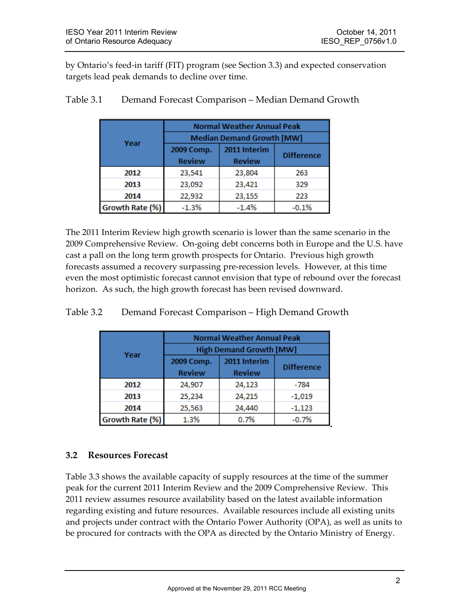by Ontario's feed-in tariff (FIT) program (see Section 3.3) and expected conservation targets lead peak demands to decline over time.

|                 | <b>Normal Weather Annual Peak</b> |               |                   |  |  |
|-----------------|-----------------------------------|---------------|-------------------|--|--|
|                 | <b>Median Demand Growth [MW]</b>  |               |                   |  |  |
| Year            | 2009 Comp.                        | 2011 Interim  |                   |  |  |
|                 | <b>Review</b>                     | <b>Review</b> | <b>Difference</b> |  |  |
| 2012            | 23,541                            | 23,804        | 263               |  |  |
| 2013            | 23,092                            | 23,421        | 329               |  |  |
| 2014            | 22,932                            | 23,155        | 223               |  |  |
| Growth Rate (%) | $-1.3%$                           | $-1.4%$       | $-0.1%$           |  |  |

#### Table 3.1 Demand Forecast Comparison – Median Demand Growth

The 2011 Interim Review high growth scenario is lower than the same scenario in the 2009 Comprehensive Review. On-going debt concerns both in Europe and the U.S. have cast a pall on the long term growth prospects for Ontario. Previous high growth forecasts assumed a recovery surpassing pre-recession levels. However, at this time even the most optimistic forecast cannot envision that type of rebound over the forecast horizon. As such, the high growth forecast has been revised downward.

| Table 3.2 | Demand Forecast Comparison - High Demand Growth |  |  |
|-----------|-------------------------------------------------|--|--|
|           |                                                 |  |  |

|                 | <b>Normal Weather Annual Peak</b> |               |                   |  |  |
|-----------------|-----------------------------------|---------------|-------------------|--|--|
| Year            | <b>High Demand Growth [MW]</b>    |               |                   |  |  |
|                 | 2009 Comp.                        | 2011 Interim  |                   |  |  |
|                 | <b>Review</b>                     | <b>Review</b> | <b>Difference</b> |  |  |
| 2012            | 24,907                            | 24,123        | -784              |  |  |
| 2013            | 25,234                            | 24,215        | $-1,019$          |  |  |
| 2014            | 25,563                            | 24,440        | $-1,123$          |  |  |
| Growth Rate (%) | 1.3%                              | 0.7%          | $-0.7%$           |  |  |

#### **3.2 Resources Forecast**

Table 3.3 shows the available capacity of supply resources at the time of the summer peak for the current 2011 Interim Review and the 2009 Comprehensive Review. This 2011 review assumes resource availability based on the latest available information regarding existing and future resources. Available resources include all existing units and projects under contract with the Ontario Power Authority (OPA), as well as units to be procured for contracts with the OPA as directed by the Ontario Ministry of Energy.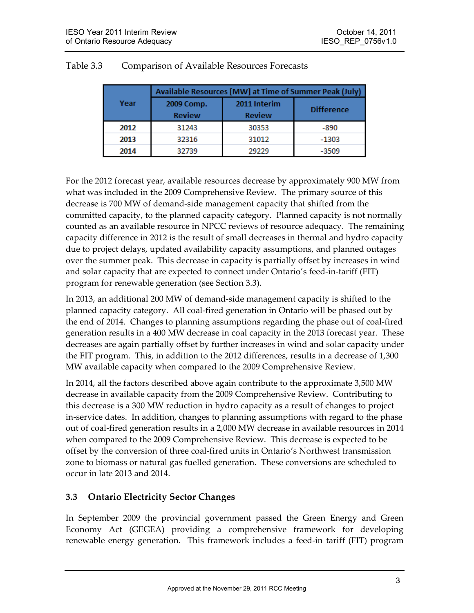|      | Available Resources [MW] at Time of Summer Peak (July) |                               |                   |  |  |
|------|--------------------------------------------------------|-------------------------------|-------------------|--|--|
| Year | 2009 Comp.<br><b>Review</b>                            | 2011 Interim<br><b>Review</b> | <b>Difference</b> |  |  |
| 2012 | 31243                                                  | 30353                         | -890              |  |  |
| 2013 | 32316                                                  | 31012                         | $-1303$           |  |  |
| 2014 | 32739                                                  | 29229                         | $-3509$           |  |  |

#### Table 3.3 Comparison of Available Resources Forecasts

For the 2012 forecast year, available resources decrease by approximately 900 MW from what was included in the 2009 Comprehensive Review. The primary source of this decrease is 700 MW of demand-side management capacity that shifted from the committed capacity, to the planned capacity category. Planned capacity is not normally counted as an available resource in NPCC reviews of resource adequacy. The remaining capacity difference in 2012 is the result of small decreases in thermal and hydro capacity due to project delays, updated availability capacity assumptions, and planned outages over the summer peak. This decrease in capacity is partially offset by increases in wind and solar capacity that are expected to connect under Ontario's feed-in-tariff (FIT) program for renewable generation (see Section 3.3).

In 2013, an additional 200 MW of demand-side management capacity is shifted to the planned capacity category. All coal-fired generation in Ontario will be phased out by the end of 2014. Changes to planning assumptions regarding the phase out of coal-fired generation results in a 400 MW decrease in coal capacity in the 2013 forecast year. These decreases are again partially offset by further increases in wind and solar capacity under the FIT program. This, in addition to the 2012 differences, results in a decrease of 1,300 MW available capacity when compared to the 2009 Comprehensive Review.

In 2014, all the factors described above again contribute to the approximate 3,500 MW decrease in available capacity from the 2009 Comprehensive Review. Contributing to this decrease is a 300 MW reduction in hydro capacity as a result of changes to project in-service dates. In addition, changes to planning assumptions with regard to the phase out of coal-fired generation results in a 2,000 MW decrease in available resources in 2014 when compared to the 2009 Comprehensive Review. This decrease is expected to be offset by the conversion of three coal-fired units in Ontario's Northwest transmission zone to biomass or natural gas fuelled generation. These conversions are scheduled to occur in late 2013 and 2014.

#### **3.3 Ontario Electricity Sector Changes**

In September 2009 the provincial government passed the Green Energy and Green Economy Act (GEGEA) providing a comprehensive framework for developing renewable energy generation. This framework includes a feed-in tariff (FIT) program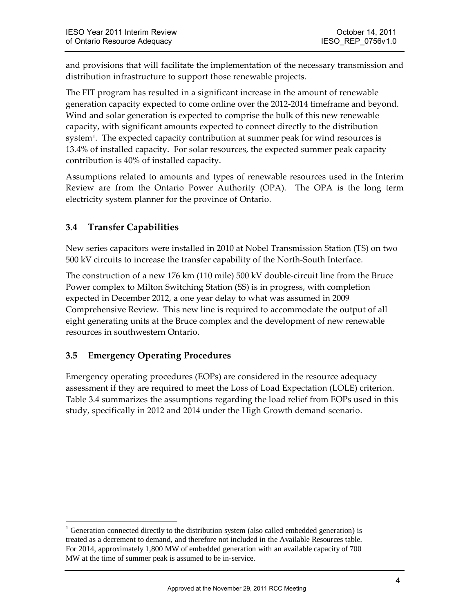and provisions that will facilitate the implementation of the necessary transmission and distribution infrastructure to support those renewable projects.

The FIT program has resulted in a significant increase in the amount of renewable generation capacity expected to come online over the 2012-2014 timeframe and beyond. Wind and solar generation is expected to comprise the bulk of this new renewable capacity, with significant amounts expected to connect directly to the distribution system<sup>[1](#page-5-0)</sup>. The expected capacity contribution at summer peak for wind resources is 13.4% of installed capacity. For solar resources, the expected summer peak capacity contribution is 40% of installed capacity.

Assumptions related to amounts and types of renewable resources used in the Interim Review are from the Ontario Power Authority (OPA). The OPA is the long term electricity system planner for the province of Ontario.

## **3.4 Transfer Capabilities**

New series capacitors were installed in 2010 at Nobel Transmission Station (TS) on two 500 kV circuits to increase the transfer capability of the North-South Interface.

The construction of a new 176 km (110 mile) 500 kV double-circuit line from the Bruce Power complex to Milton Switching Station (SS) is in progress, with completion expected in December 2012, a one year delay to what was assumed in 2009 Comprehensive Review. This new line is required to accommodate the output of all eight generating units at the Bruce complex and the development of new renewable resources in southwestern Ontario.

#### **3.5 Emergency Operating Procedures**

Emergency operating procedures (EOPs) are considered in the resource adequacy assessment if they are required to meet the Loss of Load Expectation (LOLE) criterion. Table 3.4 summarizes the assumptions regarding the load relief from EOPs used in this study, specifically in 2012 and 2014 under the High Growth demand scenario.

<span id="page-5-0"></span><sup>-</sup> $1$  Generation connected directly to the distribution system (also called embedded generation) is treated as a decrement to demand, and therefore not included in the Available Resources table. For 2014, approximately 1,800 MW of embedded generation with an available capacity of 700 MW at the time of summer peak is assumed to be in-service.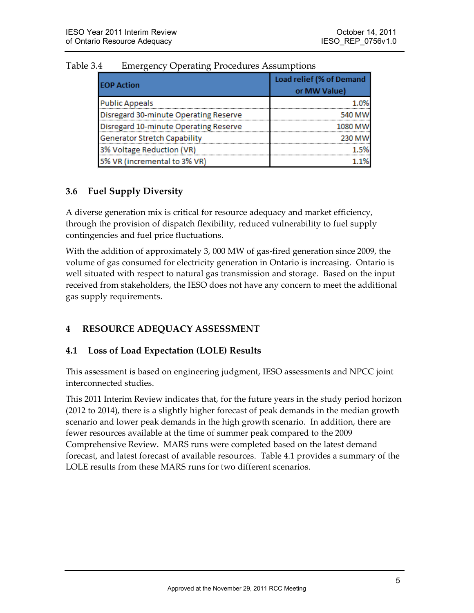| <b>EOP Action</b>                     | Load relief (% of Demand |  |  |
|---------------------------------------|--------------------------|--|--|
|                                       | or MW Value)             |  |  |
| <b>Public Appeals</b>                 |                          |  |  |
| Disregard 30-minute Operating Reserve | 540 MV                   |  |  |
| Disregard 10-minute Operating Reserve | 1080 MW                  |  |  |
| Generator Stretch Capability          | 230 MW                   |  |  |
| 3% Voltage Reduction (VR)             |                          |  |  |
| 5% VR (incremental to 3% VR)          |                          |  |  |

#### Table 3.4 Emergency Operating Procedures Assumptions

## **3.6 Fuel Supply Diversity**

A diverse generation mix is critical for resource adequacy and market efficiency, through the provision of dispatch flexibility, reduced vulnerability to fuel supply contingencies and fuel price fluctuations.

With the addition of approximately 3, 000 MW of gas-fired generation since 2009, the volume of gas consumed for electricity generation in Ontario is increasing. Ontario is well situated with respect to natural gas transmission and storage. Based on the input received from stakeholders, the IESO does not have any concern to meet the additional gas supply requirements.

# **4 RESOURCE ADEQUACY ASSESSMENT**

#### **4.1 Loss of Load Expectation (LOLE) Results**

This assessment is based on engineering judgment, IESO assessments and NPCC joint interconnected studies.

This 2011 Interim Review indicates that, for the future years in the study period horizon (2012 to 2014), there is a slightly higher forecast of peak demands in the median growth scenario and lower peak demands in the high growth scenario. In addition, there are fewer resources available at the time of summer peak compared to the 2009 Comprehensive Review. MARS runs were completed based on the latest demand forecast, and latest forecast of available resources. Table 4.1 provides a summary of the LOLE results from these MARS runs for two different scenarios.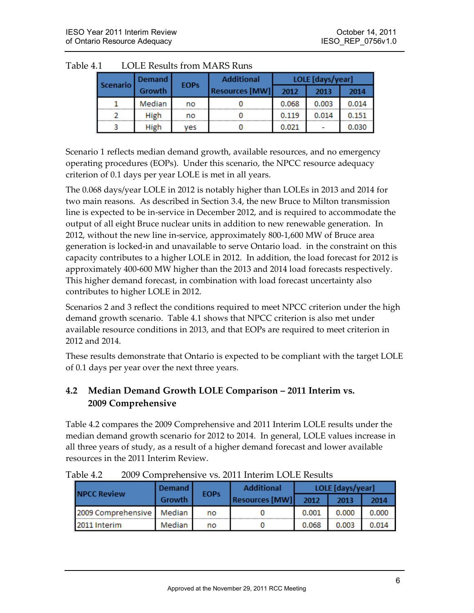| <b>Demand</b> |               | <b>EOPS</b> | <b>Additional</b>     | LOLE [days/year] |       |       |
|---------------|---------------|-------------|-----------------------|------------------|-------|-------|
| scenario      | <b>Growth</b> |             | <b>Resources [MW]</b> | 2012             | 2013  | 2014  |
|               | Median        | no          |                       | 0.068            | 0.003 | 0.014 |
|               | High          | no          |                       | 0.119            | 0.014 | 0.151 |
|               | High          | ves         |                       | 0.021            |       | 0.030 |

Table 4.1 LOLE Results from MARS Runs

Scenario 1 reflects median demand growth, available resources, and no emergency operating procedures (EOPs). Under this scenario, the NPCC resource adequacy criterion of 0.1 days per year LOLE is met in all years.

The 0.068 days/year LOLE in 2012 is notably higher than LOLEs in 2013 and 2014 for two main reasons. As described in Section 3.4, the new Bruce to Milton transmission line is expected to be in-service in December 2012, and is required to accommodate the output of all eight Bruce nuclear units in addition to new renewable generation. In 2012, without the new line in-service, approximately 800-1,600 MW of Bruce area generation is locked-in and unavailable to serve Ontario load. in the constraint on this capacity contributes to a higher LOLE in 2012. In addition, the load forecast for 2012 is approximately 400-600 MW higher than the 2013 and 2014 load forecasts respectively. This higher demand forecast, in combination with load forecast uncertainty also contributes to higher LOLE in 2012.

Scenarios 2 and 3 reflect the conditions required to meet NPCC criterion under the high demand growth scenario. Table 4.1 shows that NPCC criterion is also met under available resource conditions in 2013, and that EOPs are required to meet criterion in 2012 and 2014.

These results demonstrate that Ontario is expected to be compliant with the target LOLE of 0.1 days per year over the next three years.

# **4.2 Median Demand Growth LOLE Comparison – 2011 Interim vs. 2009 Comprehensive**

Table 4.2 compares the 2009 Comprehensive and 2011 Interim LOLE results under the median demand growth scenario for 2012 to 2014. In general, LOLE values increase in all three years of study, as a result of a higher demand forecast and lower available resources in the 2011 Interim Review.

| <b>NPCC Review</b>        | Demand | <b>EOPS</b> | <b>Additional</b>     | LOLE [days/year] |       |       |
|---------------------------|--------|-------------|-----------------------|------------------|-------|-------|
|                           | Growth |             | <b>Resources [MW]</b> | 2012             | 2013  | 2014  |
| 2009 Comprehensive Median |        | no          |                       | 0.001            | 0.000 | 0.000 |
| 12011 Interim             | Median | no          |                       | 0.068            | 0.003 | 0.014 |

Table 4.2 2009 Comprehensive vs. 2011 Interim LOLE Results